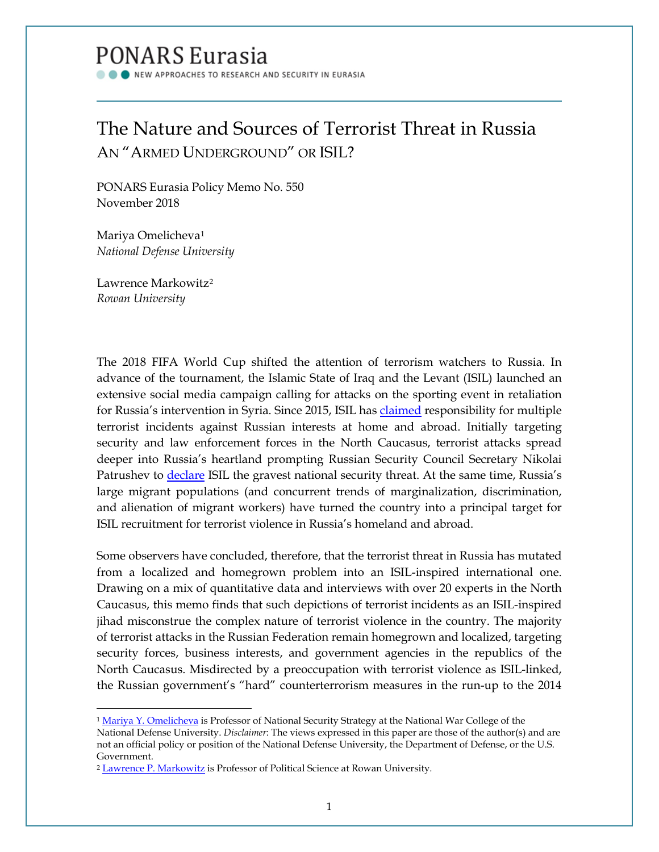# PONARS Eurasia

NEW APPROACHES TO RESEARCH AND SECURITY IN EURASIA

## The Nature and Sources of Terrorist Threat in Russia AN "ARMED UNDERGROUND" OR ISIL?

PONARS Eurasia Policy Memo No. 550 November 2018

Mariya Omelicheva[1](#page-0-0) *National Defense University* 

Lawrence Markowitz[2](#page-0-1) *Rowan University*

 $\overline{\phantom{a}}$ 

The 2018 FIFA World Cup shifted the attention of terrorism watchers to Russia. In advance of the tournament, the Islamic State of Iraq and the Levant (ISIL) launched an extensive social media campaign calling for attacks on the sporting event in retaliation for Russia's intervention in Syria. Since 2015, ISIL has [claimed](http://www.kavkaz-uzel.eu/articles/317689/) responsibility for multiple terrorist incidents against Russian interests at home and abroad. Initially targeting security and law enforcement forces in the North Caucasus, terrorist attacks spread deeper into Russia's heartland prompting Russian Security Council Secretary Nikolai Patrushev to *declare* ISIL the gravest national security threat. At the same time, Russia's large migrant populations (and concurrent trends of marginalization, discrimination, and alienation of migrant workers) have turned the country into a principal target for ISIL recruitment for terrorist violence in Russia's homeland and abroad.

Some observers have concluded, therefore, that the terrorist threat in Russia has mutated from a localized and homegrown problem into an ISIL-inspired international one. Drawing on a mix of quantitative data and interviews with over 20 experts in the North Caucasus, this memo finds that such depictions of terrorist incidents as an ISIL-inspired jihad misconstrue the complex nature of terrorist violence in the country. The majority of terrorist attacks in the Russian Federation remain homegrown and localized, targeting security forces, business interests, and government agencies in the republics of the North Caucasus. Misdirected by a preoccupation with terrorist violence as ISIL-linked, the Russian government's "hard" counterterrorism measures in the run-up to the 2014

<span id="page-0-0"></span><sup>&</sup>lt;sup>1</sup> [Mariya Y. Omelicheva](http://www.ponarseurasia.org/members/mariya-omelicheva) is Professor of National Security Strategy at the National War College of the National Defense University. *Disclaimer*: The views expressed in this paper are those of the author(s) and are not an official policy or position of the National Defense University, the Department of Defense, or the U.S. Government.

<span id="page-0-1"></span><sup>2</sup> [Lawrence P.](https://academics.rowan.edu/chss/departments/PoliSci-Econ/facultystaff/index.html) Markowitz is Professor of Political Science at Rowan University*.*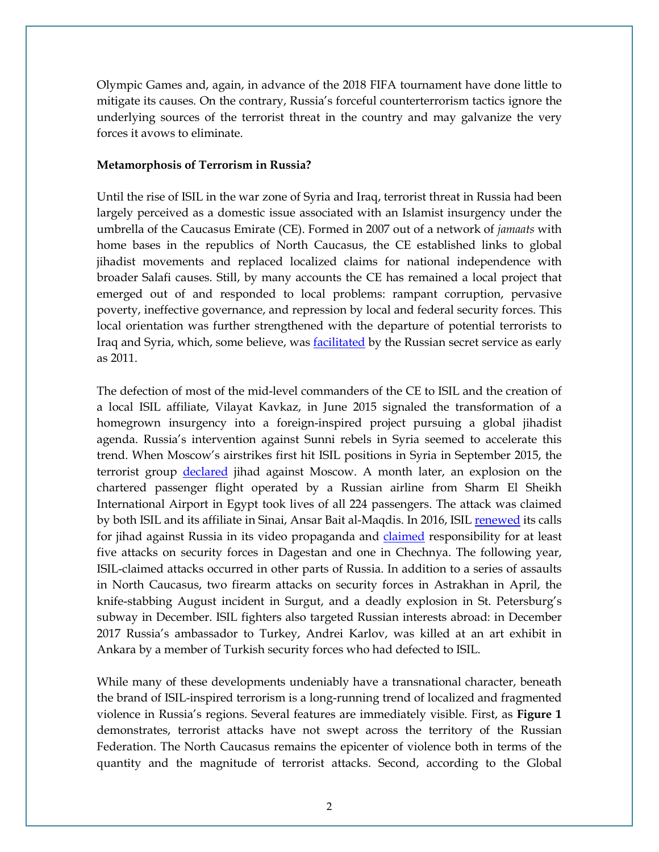Olympic Games and, again, in advance of the 2018 FIFA tournament have done little to mitigate its causes. On the contrary, Russia's forceful counterterrorism tactics ignore the underlying sources of the terrorist threat in the country and may galvanize the very forces it avows to eliminate.

#### **Metamorphosis of Terrorism in Russia?**

Until the rise of ISIL in the war zone of Syria and Iraq, terrorist threat in Russia had been largely perceived as a domestic issue associated with an Islamist insurgency under the umbrella of the Caucasus Emirate (CE). Formed in 2007 out of a network of *jamaats* with home bases in the republics of North Caucasus, the CE established links to global jihadist movements and replaced localized claims for national independence with broader Salafi causes. Still, by many accounts the CE has remained a local project that emerged out of and responded to local problems: rampant corruption, pervasive poverty, ineffective governance, and repression by local and federal security forces. This local orientation was further strengthened with the departure of potential terrorists to Iraq and Syria, which, some believe, was [facilitated](https://www.thedailybeast.com/russias-double-game-with-islamic-terror) by the Russian secret service as early as 2011.

The defection of most of the mid-level commanders of the CE to ISIL and the creation of a local ISIL affiliate, Vilayat Kavkaz, in June 2015 signaled the transformation of a homegrown insurgency into a foreign-inspired project pursuing a global jihadist agenda. Russia's intervention against Sunni rebels in Syria seemed to accelerate this trend. When Moscow's airstrikes first hit ISIL positions in Syria in September 2015, the terrorist group [declared](https://www.mk.ru/politics/2015/11/12/igil-prigrozilo-rossii-morem-krovi-kakikh-teraktov-ozhidat.html) jihad against Moscow. A month later, an explosion on the chartered passenger flight operated by a Russian airline from Sharm El Sheikh International Airport in Egypt took lives of all 224 passengers. The attack was claimed by both ISIL and its affiliate in Sinai, Ansar Bait al-Maqdis. In 2016, ISIL [renewed](http://www.kavkaz-uzel.eu/articles/286752) its calls for jihad against Russia in its video propaganda and **claimed** responsibility for at least five attacks on security forces in Dagestan and one in Chechnya. The following year, ISIL-claimed attacks occurred in other parts of Russia. In addition to a series of assaults in North Caucasus, two firearm attacks on security forces in Astrakhan in April, the knife-stabbing August incident in Surgut, and a deadly explosion in St. Petersburg's subway in December. ISIL fighters also targeted Russian interests abroad: in December 2017 Russia's ambassador to Turkey, Andrei Karlov, was killed at an art exhibit in Ankara by a member of Turkish security forces who had defected to ISIL.

While many of these developments undeniably have a transnational character, beneath the brand of ISIL-inspired terrorism is a long-running trend of localized and fragmented violence in Russia's regions. Several features are immediately visible. First, as **Figure 1** demonstrates, terrorist attacks have not swept across the territory of the Russian Federation. The North Caucasus remains the epicenter of violence both in terms of the quantity and the magnitude of terrorist attacks. Second, according to the Global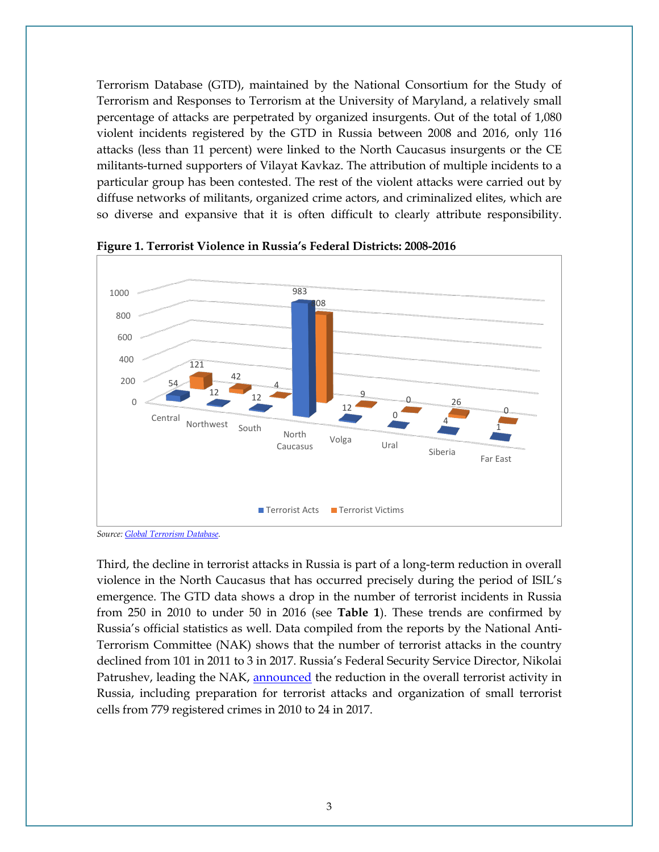Terrorism Database (GTD), maintained by the National Consortium for the Study of Terrorism and Responses to Terrorism at the University of Maryland, a relatively small percentage of attacks are perpetrated by organized insurgents. Out of the total of 1,080 violent incidents registered by the GTD in Russia between 2008 and 2016, only 116 attacks (less than 11 percent) were linked to the North Caucasus insurgents or the CE militants-turned supporters of Vilayat Kavkaz. The attribution of multiple incidents to a particular group has been contested. The rest of the violent attacks were carried out by diffuse networks of militants, organized crime actors, and criminalized elites, which are so diverse and expansive that it is often difficult to clearly attribute responsibility.



**Figure 1. Terrorist Violence in Russia's Federal Districts: 2008-2016**

*Source: [Global Terrorism Database.](https://www.start.umd.edu/gtd/)* 

Third, the decline in terrorist attacks in Russia is part of a long-term reduction in overall violence in the North Caucasus that has occurred precisely during the period of ISIL's emergence. The GTD data shows a drop in the number of terrorist incidents in Russia from 250 in 2010 to under 50 in 2016 (see **Table 1**). These trends are confirmed by Russia's official statistics as well. Data compiled from the reports by the National Anti-Terrorism Committee (NAK) shows that the number of terrorist attacks in the country declined from 101 in 2011 to 3 in 2017. Russia's Federal Security Service Director, Nikolai Patrushev, leading the NAK, [announced](https://ria.ru/defense_safety/20171226/1511725927.html?referrer_block=index_archive_63) the reduction in the overall terrorist activity in Russia, including preparation for terrorist attacks and organization of small terrorist cells from 779 registered crimes in 2010 to 24 in 2017.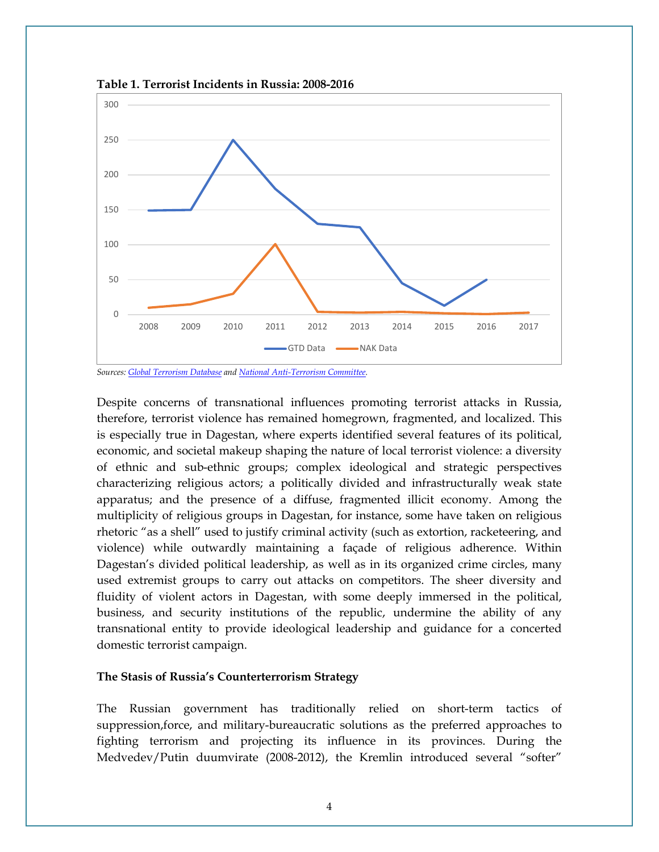

**Table 1. Terrorist Incidents in Russia: 2008-2016**

*Sources[: Global Terrorism Database](https://www.start.umd.edu/gtd/) an[d National Anti-Terrorism Committee.](http://nac.gov.ru/)*

Despite concerns of transnational influences promoting terrorist attacks in Russia, therefore, terrorist violence has remained homegrown, fragmented, and localized. This is especially true in Dagestan, where experts identified several features of its political, economic, and societal makeup shaping the nature of local terrorist violence: a diversity of ethnic and sub-ethnic groups; complex ideological and strategic perspectives characterizing religious actors; a politically divided and infrastructurally weak state apparatus; and the presence of a diffuse, fragmented illicit economy. Among the multiplicity of religious groups in Dagestan, for instance, some have taken on religious rhetoric "as a shell" used to justify criminal activity (such as extortion, racketeering, and violence) while outwardly maintaining a façade of religious adherence. Within Dagestan's divided political leadership, as well as in its organized crime circles, many used extremist groups to carry out attacks on competitors. The sheer diversity and fluidity of violent actors in Dagestan, with some deeply immersed in the political, business, and security institutions of the republic, undermine the ability of any transnational entity to provide ideological leadership and guidance for a concerted domestic terrorist campaign.

#### **The Stasis of Russia's Counterterrorism Strategy**

The Russian government has traditionally relied on short-term tactics of suppression,force, and military-bureaucratic solutions as the preferred approaches to fighting terrorism and projecting its influence in its provinces. During the Medvedev/Putin duumvirate (2008-2012), the Kremlin introduced several "softer"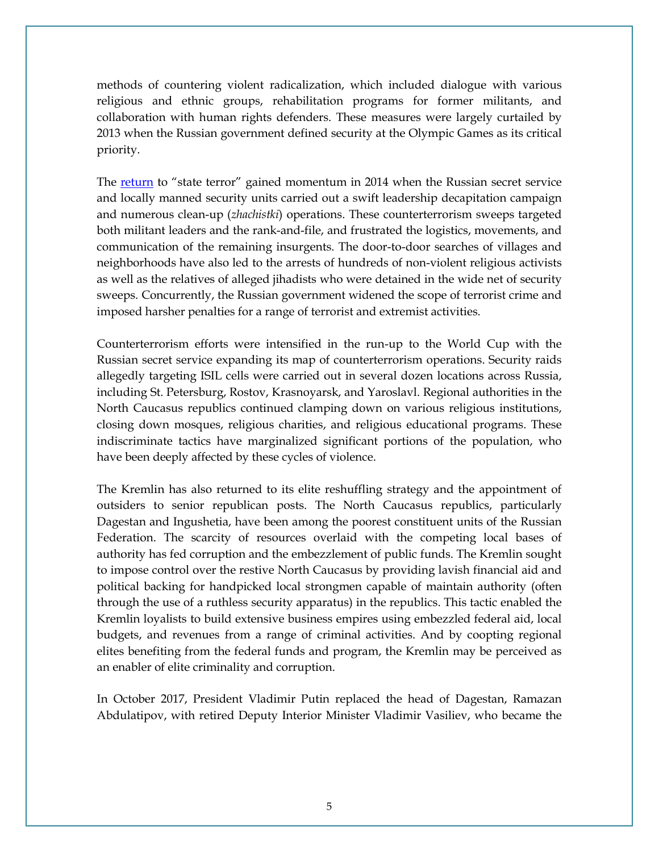methods of countering violent radicalization, which included dialogue with various religious and ethnic groups, rehabilitation programs for former militants, and collaboration with human rights defenders. These measures were largely curtailed by 2013 when the Russian government defined security at the Olympic Games as its critical priority.

The [return](http://www.kavkaz-uzel.eu/articles/283821/) to "state terror" gained momentum in 2014 when the Russian secret service and locally manned security units carried out a swift leadership decapitation campaign and numerous clean-up (*zhachistki*) operations. These counterterrorism sweeps targeted both militant leaders and the rank-and-file, and frustrated the logistics, movements, and communication of the remaining insurgents. The door-to-door searches of villages and neighborhoods have also led to the arrests of hundreds of non-violent religious activists as well as the relatives of alleged jihadists who were detained in the wide net of security sweeps. Concurrently, the Russian government widened the scope of terrorist crime and imposed harsher penalties for a range of terrorist and extremist activities.

Counterterrorism efforts were intensified in the run-up to the World Cup with the Russian secret service expanding its map of counterterrorism operations. Security raids allegedly targeting ISIL cells were carried out in several dozen locations across Russia, including St. Petersburg, Rostov, Krasnoyarsk, and Yaroslavl. Regional authorities in the North Caucasus republics continued clamping down on various religious institutions, closing down mosques, religious charities, and religious educational programs. These indiscriminate tactics have marginalized significant portions of the population, who have been deeply affected by these cycles of violence.

The Kremlin has also returned to its elite reshuffling strategy and the appointment of outsiders to senior republican posts. The North Caucasus republics, particularly Dagestan and Ingushetia, have been among the poorest constituent units of the Russian Federation. The scarcity of resources overlaid with the competing local bases of authority has fed corruption and the embezzlement of public funds. The Kremlin sought to impose control over the restive North Caucasus by providing lavish financial aid and political backing for handpicked local strongmen capable of maintain authority (often through the use of a ruthless security apparatus) in the republics. This tactic enabled the Kremlin loyalists to build extensive business empires using embezzled federal aid, local budgets, and revenues from a range of criminal activities. And by coopting regional elites benefiting from the federal funds and program, the Kremlin may be perceived as an enabler of elite criminality and corruption.

In October 2017, President Vladimir Putin replaced the head of Dagestan, Ramazan Abdulatipov, with retired Deputy Interior Minister Vladimir Vasiliev, who became the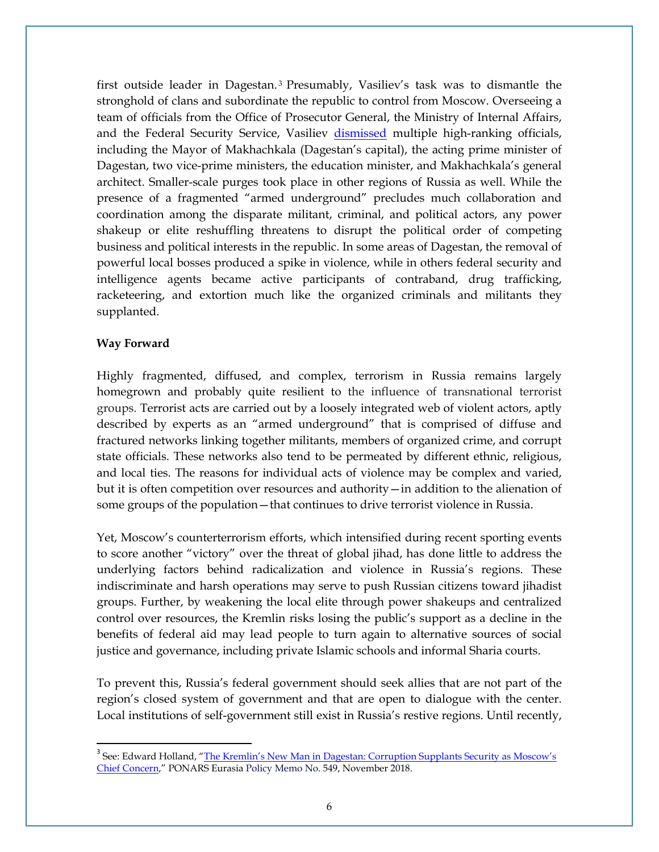first outside leader in Dagestan. [3](#page-5-0) Presumably, Vasiliev's task was to dismantle the stronghold of clans and subordinate the republic to control from Moscow. Overseeing a team of officials from the Office of Prosecutor General, the Ministry of Internal Affairs, and the Federal Security Service, Vasiliev [dismissed](https://www.osw.waw.pl/en/publikacje/analyses/2018-02-14/a-purge-dagestan-ahead-russian-election) multiple high-ranking officials, including the Mayor of Makhachkala (Dagestan's capital), the acting prime minister of Dagestan, two vice-prime ministers, the education minister, and Makhachkala's general architect. Smaller-scale purges took place in other regions of Russia as well. While the presence of a fragmented "armed underground" precludes much collaboration and coordination among the disparate militant, criminal, and political actors, any power shakeup or elite reshuffling threatens to disrupt the political order of competing business and political interests in the republic. In some areas of Dagestan, the removal of powerful local bosses produced a spike in violence, while in others federal security and intelligence agents became active participants of contraband, drug trafficking, racketeering, and extortion much like the organized criminals and militants they supplanted.

### **Way Forward**

Highly fragmented, diffused, and complex, terrorism in Russia remains largely homegrown and probably quite resilient to the influence of transnational terrorist groups. Terrorist acts are carried out by a loosely integrated web of violent actors, aptly described by experts as an "armed underground" that is comprised of diffuse and fractured networks linking together militants, members of organized crime, and corrupt state officials. These networks also tend to be permeated by different ethnic, religious, and local ties. The reasons for individual acts of violence may be complex and varied, but it is often competition over resources and authority—in addition to the alienation of some groups of the population—that continues to drive terrorist violence in Russia.

Yet, Moscow's counterterrorism efforts, which intensified during recent sporting events to score another "victory" over the threat of global jihad, has done little to address the underlying factors behind radicalization and violence in Russia's regions. These indiscriminate and harsh operations may serve to push Russian citizens toward jihadist groups. Further, by weakening the local elite through power shakeups and centralized control over resources, the Kremlin risks losing the public's support as a decline in the benefits of federal aid may lead people to turn again to alternative sources of social justice and governance, including private Islamic schools and informal Sharia courts.

To prevent this, Russia's federal government should seek allies that are not part of the region's closed system of government and that are open to dialogue with the center. Local institutions of self-government still exist in Russia's restive regions. Until recently,

<span id="page-5-0"></span><sup>&</sup>lt;sup>3</sup> See: Edward Holland, "The Kremlin's New Man in Dagestan: Corruption Supplants Security as Moscow's [Chief Concern,"](http://www.ponarseurasia.org/memo/kremlins-new-man-dagestan-corruption-supplants-security-moscows-chief-concern) PONARS Eurasia Policy Memo No. 549, November 2018.